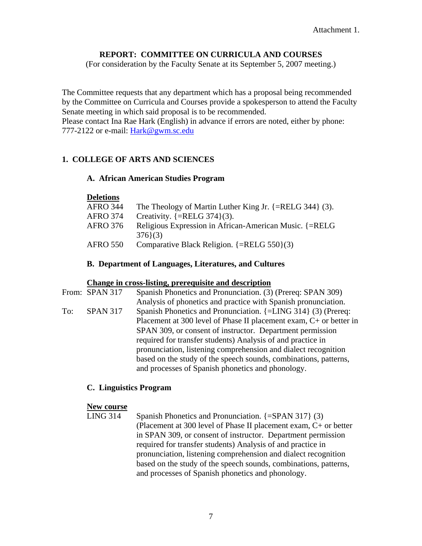#### **REPORT: COMMITTEE ON CURRICULA AND COURSES**

(For consideration by the Faculty Senate at its September 5, 2007 meeting.)

The Committee requests that any department which has a proposal being recommended by the Committee on Curricula and Courses provide a spokesperson to attend the Faculty Senate meeting in which said proposal is to be recommended. Please contact Ina Rae Hark (English) in advance if errors are noted, either by phone: 777-2122 or e-mail: [Hark@gwm.sc.edu](mailto:Hark@gwm.sc.edu)

#### **1. COLLEGE OF ARTS AND SCIENCES**

#### **A. African American Studies Program**

#### **Deletions**

| <b>AFRO 344</b> | The Theology of Martin Luther King Jr. $\{ =$ RELG 344 $\}$ (3). |
|-----------------|------------------------------------------------------------------|
| <b>AFRO 374</b> | Creativity. $\{=\text{RELG } 374\}(3)$ .                         |
| <b>AFRO 376</b> | Religious Expression in African-American Music. {=RELG           |
|                 | 376(3)                                                           |
| <b>AFRO 550</b> | Comparative Black Religion. $\{ =$ RELG 550 $\}(3)$              |
|                 |                                                                  |

#### **B. Department of Languages, Literatures, and Cultures**

#### **Change in cross-listing, prerequisite and description**

|     | From: SPAN 317  | Spanish Phonetics and Pronunciation. (3) (Prereq: SPAN 309)          |
|-----|-----------------|----------------------------------------------------------------------|
|     |                 | Analysis of phonetics and practice with Spanish pronunciation.       |
| To: | <b>SPAN 317</b> | Spanish Phonetics and Pronunciation. {=LING 314} (3) (Prereq:        |
|     |                 | Placement at 300 level of Phase II placement exam, $C+$ or better in |
|     |                 | SPAN 309, or consent of instructor. Department permission            |
|     |                 | required for transfer students) Analysis of and practice in          |
|     |                 | pronunciation, listening comprehension and dialect recognition       |
|     |                 | based on the study of the speech sounds, combinations, patterns,     |
|     |                 | and processes of Spanish phonetics and phonology.                    |

#### **C. Linguistics Program**

#### **New course**

LING 314 Spanish Phonetics and Pronunciation.  $\{=\text{SPAN } 317\}$  (3) (Placement at 300 level of Phase II placement exam, C+ or better in SPAN 309, or consent of instructor. Department permission required for transfer students) Analysis of and practice in pronunciation, listening comprehension and dialect recognition based on the study of the speech sounds, combinations, patterns, and processes of Spanish phonetics and phonology.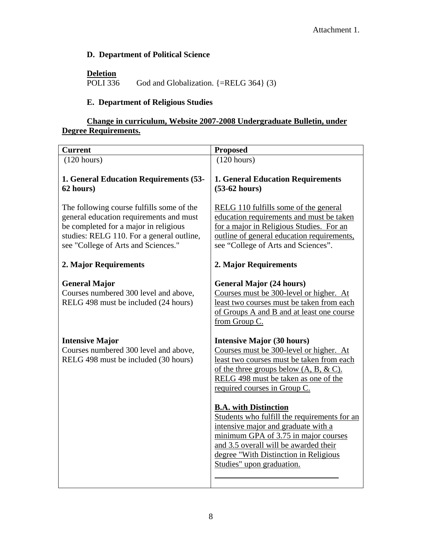#### **D. Department of Political Science**

**Deletion**

```
God and Globalization. \{ = \text{RELG } 364 \} (3)
```
#### **E. Department of Religious Studies**

#### **Change in curriculum, Website 2007-2008 Undergraduate Bulletin, under Degree Requirements.**

| <b>Proposed</b>                                                                                                                                                                                                                                                                                                                                                                                                                                                                                                               |
|-------------------------------------------------------------------------------------------------------------------------------------------------------------------------------------------------------------------------------------------------------------------------------------------------------------------------------------------------------------------------------------------------------------------------------------------------------------------------------------------------------------------------------|
| (120 hours)                                                                                                                                                                                                                                                                                                                                                                                                                                                                                                                   |
| <b>1. General Education Requirements</b><br>$(53-62 hours)$                                                                                                                                                                                                                                                                                                                                                                                                                                                                   |
| RELG 110 fulfills some of the general<br>education requirements and must be taken<br>for a major in Religious Studies. For an<br>outline of general education requirements,<br>see "College of Arts and Sciences".                                                                                                                                                                                                                                                                                                            |
| 2. Major Requirements                                                                                                                                                                                                                                                                                                                                                                                                                                                                                                         |
| <b>General Major (24 hours)</b><br>Courses must be 300-level or higher. At<br>least two courses must be taken from each<br>of Groups A and B and at least one course<br>from Group C.                                                                                                                                                                                                                                                                                                                                         |
| <b>Intensive Major (30 hours)</b><br>Courses must be 300-level or higher. At<br>least two courses must be taken from each<br>of the three groups below $(A, B, \& C)$ .<br>RELG 498 must be taken as one of the<br>required courses in Group C.<br><b>B.A.</b> with Distinction<br>Students who fulfill the requirements for an<br>intensive major and graduate with a<br>minimum GPA of 3.75 in major courses<br>and 3.5 overall will be awarded their<br>degree "With Distinction in Religious<br>Studies" upon graduation. |
|                                                                                                                                                                                                                                                                                                                                                                                                                                                                                                                               |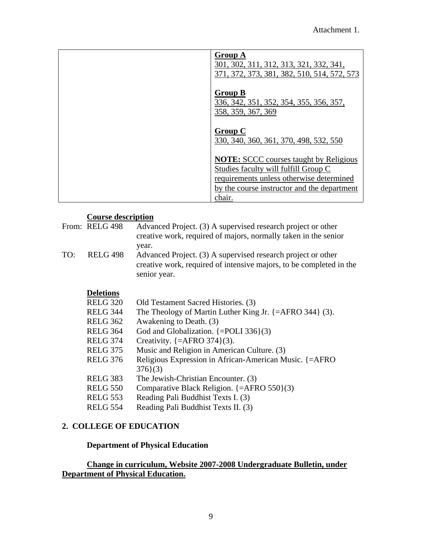| <b>Group A</b><br>301, 302, 311, 312, 313, 321, 332, 341,<br>371, 372, 373, 381, 382, 510, 514, 572, 573                                                                                   |
|--------------------------------------------------------------------------------------------------------------------------------------------------------------------------------------------|
| <b>Group B</b><br>336, 342, 351, 352, 354, 355, 356, 357,<br>358, 359, 367, 369                                                                                                            |
| <b>Group C</b><br>330, 340, 360, 361, 370, 498, 532, 550                                                                                                                                   |
| <b>NOTE:</b> SCCC courses taught by Religious<br>Studies faculty will fulfill Group C<br>requirements unless otherwise determined<br>by the course instructor and the department<br>chair. |

#### **Course description**

|     | From: RELG 498  | Advanced Project. (3) A supervised research project or other<br>creative work, required of majors, normally taken in the senior<br>year.            |
|-----|-----------------|-----------------------------------------------------------------------------------------------------------------------------------------------------|
| TO: | <b>RELG 498</b> | Advanced Project. (3) A supervised research project or other<br>creative work, required of intensive majors, to be completed in the<br>senior year. |

## **Deletions**<br>RELG 320

| RELG 320 | Old Testament Sacred Histories. (3)                                 |
|----------|---------------------------------------------------------------------|
| RELG 344 | The Theology of Martin Luther King Jr. $\{=\text{AFRO } 344\}$ (3). |
| RELG 362 | Awakening to Death. (3)                                             |
| RELG 364 | God and Globalization. $\{=\text{POLI } 336\}(3)$                   |
| RELG 374 | Creativity. $\{=\text{AFRO } 374\}(3)$ .                            |
| RELG 375 | Music and Religion in American Culture. (3)                         |
| RELG 376 | Religious Expression in African-American Music. {=AFRO              |
|          | 376(3)                                                              |
| RELG 383 | The Jewish-Christian Encounter. (3)                                 |
| RELG 550 | Comparative Black Religion. $\{=\text{AFRO } 550\}(3)$              |
| RELG 553 | Reading Pali Buddhist Texts I. (3)                                  |
| RELG 554 | Reading Pali Buddhist Texts II. (3)                                 |

#### **2. COLLEGE OF EDUCATION**

#### **Department of Physical Education**

#### **Change in curriculum, Website 2007-2008 Undergraduate Bulletin, under Department of Physical Education.**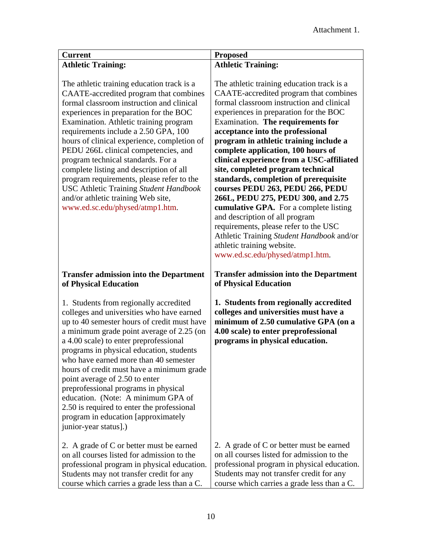| Current                   | <b>Proposed</b>           |
|---------------------------|---------------------------|
| <b>Athletic Training:</b> | <b>Athletic Training:</b> |

The athletic training education track is a CAATE-accredited program that combines formal classroom instruction and clinical experiences in preparation for the BOC Examination. Athletic training program requirements include a 2.50 GPA, 100 hours of clinical experience, completion of PEDU 266L clinical competencies, and program technical standards. For a complete listing and description of all program requirements, please refer to the USC Athletic Training *Student Handbook* and/or athletic training Web site, [www.ed.sc.edu/physed/atmp1.htm.](http://www.ed.sc.edu/PHYSED/atmp1.HTM)

#### **Transfer admission into the Department of Physical Education**

1. Students from regionally accredited colleges and universities who have earned up to 40 semester hours of credit must have a minimum grade point average of 2.25 (on a 4.00 scale) to enter preprofessional programs in physical education, students who have earned more than 40 semester hours of credit must have a minimum grade point average of 2.50 to enter preprofessional programs in physical education. (Note: A minimum GPA of 2.50 is required to enter the professional program in education [approximately junior-year status].)

2. A grade of C or better must be earned on all courses listed for admission to the professional program in physical education. Students may not transfer credit for any course which carries a grade less than a C.

The athletic training education track is a CAATE-accredited program that combines formal classroom instruction and clinical experiences in preparation for the BOC Examination. **The requirements for acceptance into the professional program in athletic training include a complete application, 100 hours of clinical experience from a USC-affiliated site, completed program technical standards, completion of prerequisite courses PEDU 263, PEDU 266, PEDU 266L, PEDU 275, PEDU 300, and 2.75 cumulative GPA.** For a complete listing and description of all program requirements, please refer to the USC Athletic Training *Student Handbook* and/or athletic training website. [www.ed.sc.edu/physed/atmp1.htm](http://www.ed.sc.edu/PHYSED/atmp1.HTM).

#### **Transfer admission into the Department of Physical Education**

**1. Students from regionally accredited colleges and universities must have a minimum of 2.50 cumulative GPA (on a 4.00 scale) to enter preprofessional programs in physical education.** 

2. A grade of C or better must be earned on all courses listed for admission to the professional program in physical education. Students may not transfer credit for any course which carries a grade less than a C.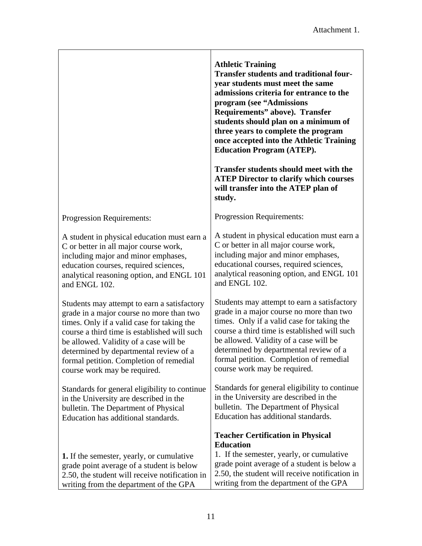|                                                                                                                                                                                                                                                                                                                                                      | <b>Athletic Training</b><br><b>Transfer students and traditional four-</b><br>year students must meet the same<br>admissions criteria for entrance to the<br>program (see "Admissions<br>Requirements" above). Transfer<br>students should plan on a minimum of<br>three years to complete the program<br>once accepted into the Athletic Training<br><b>Education Program (ATEP).</b> |
|------------------------------------------------------------------------------------------------------------------------------------------------------------------------------------------------------------------------------------------------------------------------------------------------------------------------------------------------------|----------------------------------------------------------------------------------------------------------------------------------------------------------------------------------------------------------------------------------------------------------------------------------------------------------------------------------------------------------------------------------------|
|                                                                                                                                                                                                                                                                                                                                                      | <b>Transfer students should meet with the</b><br><b>ATEP Director to clarify which courses</b><br>will transfer into the ATEP plan of<br>study.                                                                                                                                                                                                                                        |
| Progression Requirements:                                                                                                                                                                                                                                                                                                                            | Progression Requirements:                                                                                                                                                                                                                                                                                                                                                              |
| A student in physical education must earn a<br>C or better in all major course work,<br>including major and minor emphases,<br>education courses, required sciences,<br>analytical reasoning option, and ENGL 101<br>and ENGL 102.                                                                                                                   | A student in physical education must earn a<br>C or better in all major course work,<br>including major and minor emphases,<br>educational courses, required sciences,<br>analytical reasoning option, and ENGL 101<br>and ENGL 102.                                                                                                                                                   |
| Students may attempt to earn a satisfactory<br>grade in a major course no more than two<br>times. Only if a valid case for taking the<br>course a third time is established will such<br>be allowed. Validity of a case will be<br>determined by departmental review of a<br>formal petition. Completion of remedial<br>course work may be required. | Students may attempt to earn a satisfactory<br>grade in a major course no more than two<br>times. Only if a valid case for taking the<br>course a third time is established will such<br>be allowed. Validity of a case will be<br>determined by departmental review of a<br>formal petition. Completion of remedial<br>course work may be required.                                   |
| Standards for general eligibility to continue<br>in the University are described in the<br>bulletin. The Department of Physical<br>Education has additional standards.                                                                                                                                                                               | Standards for general eligibility to continue<br>in the University are described in the<br>bulletin. The Department of Physical<br>Education has additional standards.                                                                                                                                                                                                                 |
| 1. If the semester, yearly, or cumulative<br>grade point average of a student is below<br>2.50, the student will receive notification in<br>writing from the department of the GPA                                                                                                                                                                   | <b>Teacher Certification in Physical</b><br><b>Education</b><br>1. If the semester, yearly, or cumulative<br>grade point average of a student is below a<br>2.50, the student will receive notification in<br>writing from the department of the GPA                                                                                                                                   |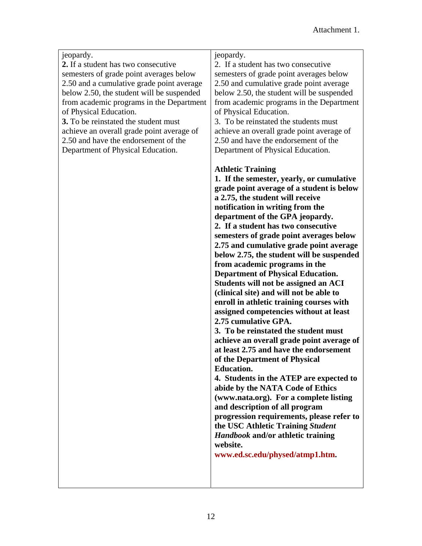#### jeopardy. **2.** If a student has two consecutive semesters of grade point averages below 2.50 and a cumulative grade point average below 2.50, the student will be suspended from academic programs in the Department of Physical Education.

**3.** To be reinstated the student must achieve an overall grade point average of 2.50 and have the endorsement of the Department of Physical Education.

#### jeopardy.

2. If a student has two consecutive semesters of grade point averages below 2.50 and cumulative grade point average below 2.50, the student will be suspended from academic programs in the Department of Physical Education.

3. To be reinstated the students must achieve an overall grade point average of 2.50 and have the endorsement of the Department of Physical Education.

#### **Athletic Training**

**1. If the semester, yearly, or cumulative grade point average of a student is below a 2.75, the student will receive notification in writing from the department of the GPA jeopardy. 2. If a student has two consecutive semesters of grade point averages below 2.75 and cumulative grade point average below 2.75, the student will be suspended from academic programs in the Department of Physical Education. Students will not be assigned an ACI (clinical site) and will not be able to enroll in athletic training courses with assigned competencies without at least 2.75 cumulative GPA.** 

**3. To be reinstated the student must achieve an overall grade point average of at least 2.75 and have the endorsement of the Department of Physical Education.** 

**4. Students in the ATEP are expected to abide by the NATA Code of Ethics (www.nata.org). For a complete listing and description of all program progression requirements, please refer to the USC Athletic Training** *Student Handbook* **and/or athletic training website.** 

**[www.ed.sc.edu/physed/atmp1.htm](http://www.ed.sc.edu/PHYSED/atmp1.HTM).**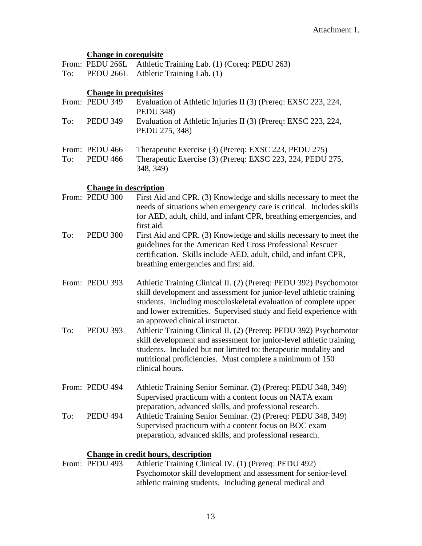#### **Change in corequisite**

From: PEDU 266L Athletic Training Lab. (1) (Coreq: PEDU 263) To: PEDU 266L Athletic Training Lab. (1)

#### **Change in prequisites**

|     | From: PEDU 349                    | Evaluation of Athletic Injuries II (3) (Prereq: EXSC 223, 224,<br><b>PEDU 348)</b>                                               |
|-----|-----------------------------------|----------------------------------------------------------------------------------------------------------------------------------|
| To: | <b>PEDU 349</b>                   | Evaluation of Athletic Injuries II (3) (Prereq: EXSC 223, 224,<br>PEDU 275, 348)                                                 |
| To: | From: PEDU 466<br><b>PEDU 466</b> | Therapeutic Exercise (3) (Prereq: EXSC 223, PEDU 275)<br>Therapeutic Exercise (3) (Prereq: EXSC 223, 224, PEDU 275,<br>348, 349) |

## **Change in description**<br>**PEDU**<sub>1300</sub> **Eirst Aid**

|     | $\epsilon$ and $\epsilon$ is $\epsilon$ and $\epsilon$ is $\epsilon$ in $\epsilon$ |                                                                                                                                                                                                                                                                                                                       |
|-----|------------------------------------------------------------------------------------|-----------------------------------------------------------------------------------------------------------------------------------------------------------------------------------------------------------------------------------------------------------------------------------------------------------------------|
|     | From: PEDU 300                                                                     | First Aid and CPR. (3) Knowledge and skills necessary to meet the<br>needs of situations when emergency care is critical. Includes skills<br>for AED, adult, child, and infant CPR, breathing emergencies, and<br>first aid.                                                                                          |
| To: | <b>PEDU 300</b>                                                                    | First Aid and CPR. (3) Knowledge and skills necessary to meet the<br>guidelines for the American Red Cross Professional Rescuer<br>certification. Skills include AED, adult, child, and infant CPR,<br>breathing emergencies and first aid.                                                                           |
|     | From: PEDU 393                                                                     | Athletic Training Clinical II. (2) (Prereq: PEDU 392) Psychomotor<br>skill development and assessment for junior-level athletic training<br>students. Including musculoskeletal evaluation of complete upper<br>and lower extremities. Supervised study and field experience with<br>an approved clinical instructor. |
| To: | <b>PEDU 393</b>                                                                    | Athletic Training Clinical II. (2) (Prereq: PEDU 392) Psychomotor<br>skill development and assessment for junior-level athletic training<br>students. Included but not limited to: therapeutic modality and<br>nutritional proficiencies. Must complete a minimum of 150<br>clinical hours.                           |
|     | From: PEDU 494                                                                     | Athletic Training Senior Seminar. (2) (Prereq: PEDU 348, 349)<br>Supervised practicum with a content focus on NATA exam<br>preparation, advanced skills, and professional research.                                                                                                                                   |
| To: | <b>PEDU 494</b>                                                                    | Athletic Training Senior Seminar. (2) (Prereq: PEDU 348, 349)<br>Supervised practicum with a content focus on BOC exam<br>preparation, advanced skills, and professional research.                                                                                                                                    |

#### **Change in credit hours, description**

| From: PEDU 493 | Athletic Training Clinical IV. (1) (Prereq: PEDU 492)         |
|----------------|---------------------------------------------------------------|
|                | Psychomotor skill development and assessment for senior-level |
|                | athletic training students. Including general medical and     |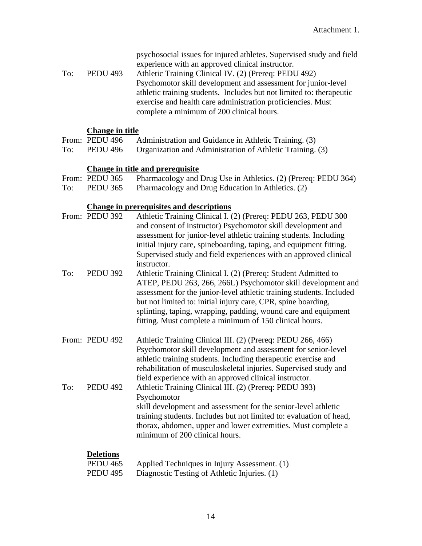psychosocial issues for injured athletes. Supervised study and field experience with an approved clinical instructor.

To: PEDU 493 Athletic Training Clinical IV. (2) (Prereq: PEDU 492) Psychomotor skill development and assessment for junior-level athletic training students. Includes but not limited to: therapeutic exercise and health care administration proficiencies. Must complete a minimum of 200 clinical hours.

#### **Change in title**

|     | From: PEDU 496 | Administration and Guidance in Athletic Training. (3)     |
|-----|----------------|-----------------------------------------------------------|
| To: | PEDU 496       | Organization and Administration of Athletic Training. (3) |

### **Change in title and prerequisite**

|     | From: PEDU 365  | Pharmacology and Drug Use in Athletics. (2) (Prereq: PEDU 364) |
|-----|-----------------|----------------------------------------------------------------|
| To: | <b>PEDU 365</b> | Pharmacology and Drug Education in Athletics. (2)              |

#### **Change in prerequisites and descriptions**

|     | From: PEDU 392   | Athletic Training Clinical I. (2) (Prereq: PEDU 263, PEDU 300<br>and consent of instructor) Psychomotor skill development and<br>assessment for junior-level athletic training students. Including<br>initial injury care, spineboarding, taping, and equipment fitting.<br>Supervised study and field experiences with an approved clinical<br>instructor.                                          |
|-----|------------------|------------------------------------------------------------------------------------------------------------------------------------------------------------------------------------------------------------------------------------------------------------------------------------------------------------------------------------------------------------------------------------------------------|
| To: | <b>PEDU 392</b>  | Athletic Training Clinical I. (2) (Prereq: Student Admitted to<br>ATEP, PEDU 263, 266, 266L) Psychomotor skill development and<br>assessment for the junior-level athletic training students. Included<br>but not limited to: initial injury care, CPR, spine boarding,<br>splinting, taping, wrapping, padding, wound care and equipment<br>fitting. Must complete a minimum of 150 clinical hours. |
|     | From: PEDU 492   | Athletic Training Clinical III. (2) (Prereq: PEDU 266, 466)<br>Psychomotor skill development and assessment for senior-level<br>athletic training students. Including therapeutic exercise and<br>rehabilitation of musculoskeletal injuries. Supervised study and<br>field experience with an approved clinical instructor.                                                                         |
| To: | <b>PEDU 492</b>  | Athletic Training Clinical III. (2) (Prereq: PEDU 393)<br>Psychomotor<br>skill development and assessment for the senior-level athletic<br>training students. Includes but not limited to: evaluation of head,<br>thorax, abdomen, upper and lower extremities. Must complete a<br>minimum of 200 clinical hours.                                                                                    |
|     | <b>Deletions</b> |                                                                                                                                                                                                                                                                                                                                                                                                      |

| <b>PEDU 465</b> | Applied Techniques in Injury Assessment. (1) |
|-----------------|----------------------------------------------|
| <b>PEDU 495</b> | Diagnostic Testing of Athletic Injuries. (1) |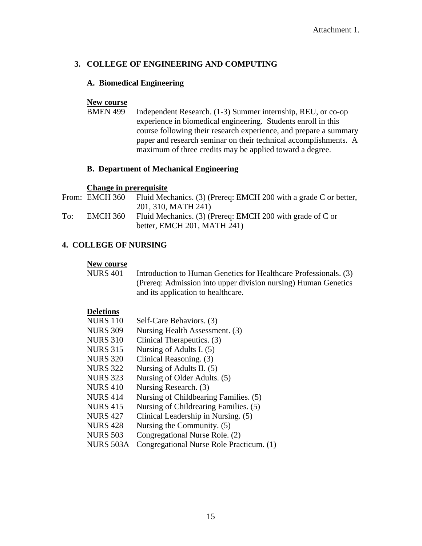#### **3. COLLEGE OF ENGINEERING AND COMPUTING**

#### **A. Biomedical Engineering**

#### **New course**

BMEN 499 Independent Research. (1-3) Summer internship, REU, or co-op experience in biomedical engineering. Students enroll in this course following their research experience, and prepare a summary paper and research seminar on their technical accomplishments. A maximum of three credits may be applied toward a degree.

#### **B. Department of Mechanical Engineering**

#### **Change in prerequisite**

|     | From: EMCH 360  | Fluid Mechanics. (3) (Prereq: EMCH 200 with a grade C or better, |
|-----|-----------------|------------------------------------------------------------------|
|     |                 | 201, 310, MATH 241)                                              |
| To: | <b>EMCH 360</b> | Fluid Mechanics. (3) (Prereq: EMCH 200 with grade of C or        |
|     |                 | better, EMCH 201, MATH 241)                                      |

#### **4. COLLEGE OF NURSING**

**New course**<br>NURS 401 Introduction to Human Genetics for Healthcare Professionals. (3) (Prereq: Admission into upper division nursing) Human Genetics and its application to healthcare.

#### **Deletions**

| <b>NURS 110</b> | Self-Care Behaviors. (3)                 |
|-----------------|------------------------------------------|
| <b>NURS 309</b> | Nursing Health Assessment. (3)           |
| <b>NURS 310</b> | Clinical Therapeutics. (3)               |
| <b>NURS 315</b> | Nursing of Adults I. (5)                 |
| <b>NURS 320</b> | Clinical Reasoning. (3)                  |
| <b>NURS 322</b> | Nursing of Adults II. (5)                |
| <b>NURS 323</b> | Nursing of Older Adults. (5)             |
| <b>NURS 410</b> | Nursing Research. (3)                    |
| <b>NURS 414</b> | Nursing of Childbearing Families. (5)    |
| <b>NURS 415</b> | Nursing of Childrearing Families. (5)    |
| <b>NURS 427</b> | Clinical Leadership in Nursing. (5)      |
| <b>NURS 428</b> | Nursing the Community. (5)               |
| <b>NURS 503</b> | Congregational Nurse Role. (2)           |
| NURS 503A       | Congregational Nurse Role Practicum. (1) |
|                 |                                          |